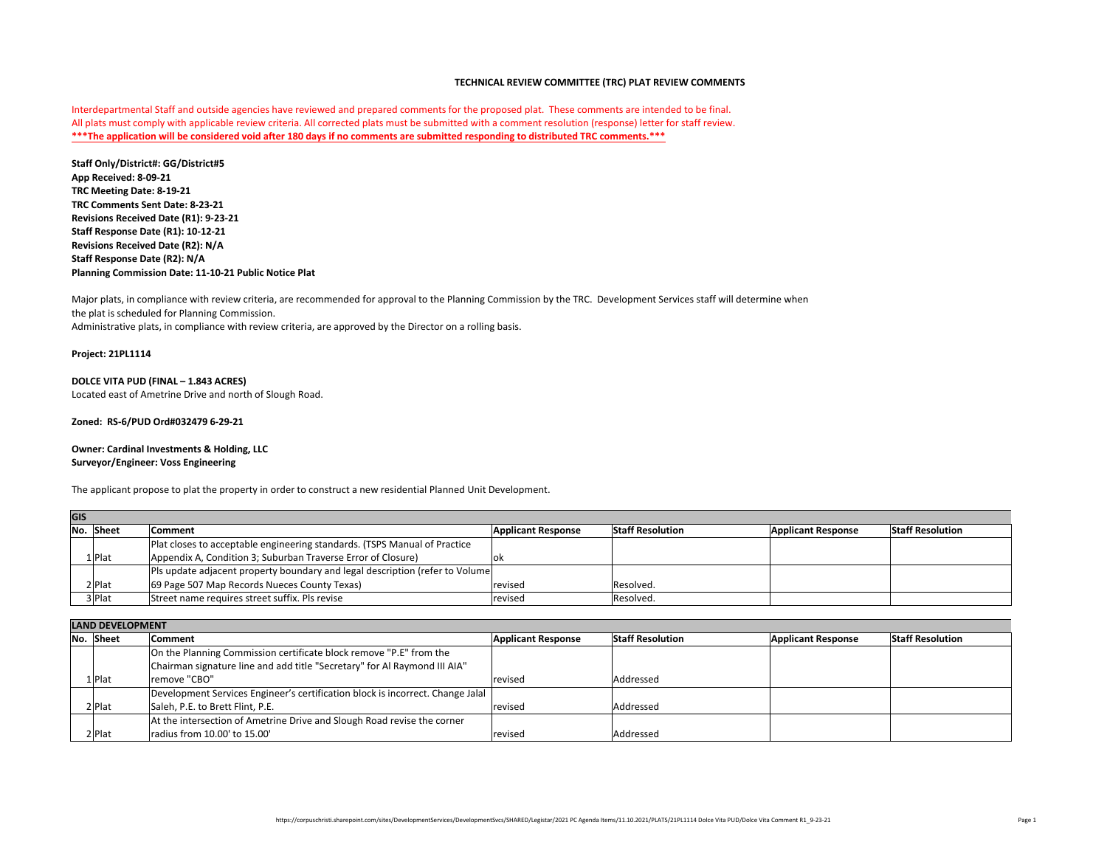The applicant propose to plat the property in order to construct a new residential Planned Unit Development.

**\*\*\*The application will be considered void after 180 days if no comments are submitted responding to distributed TRC comments.\*\*\*** Interdepartmental Staff and outside agencies have reviewed and prepared comments for the proposed plat. These comments are intended to be final. All plats must comply with applicable review criteria. All corrected plats must be submitted with a comment resolution (response) letter for staff review.

| No. Sheet | <b>Comment</b>                                                            | <b>Applicant Response</b>                                                                                                                                      | <b>Staff Resolution</b>                                                       | <b>Applicant Response</b> | <b>Staff Resolution</b> |
|-----------|---------------------------------------------------------------------------|----------------------------------------------------------------------------------------------------------------------------------------------------------------|-------------------------------------------------------------------------------|---------------------------|-------------------------|
|           | Plat closes to acceptable engineering standards. (TSPS Manual of Practice |                                                                                                                                                                |                                                                               |                           |                         |
| $1 $ Plat |                                                                           | OK                                                                                                                                                             |                                                                               |                           |                         |
|           |                                                                           |                                                                                                                                                                |                                                                               |                           |                         |
| $2$ Plat  |                                                                           | revised                                                                                                                                                        | Resolved.                                                                     |                           |                         |
| 3 Plat    |                                                                           | revised                                                                                                                                                        | Resolved.                                                                     |                           |                         |
|           |                                                                           | Appendix A, Condition 3; Suburban Traverse Error of Closure)<br>69 Page 507 Map Records Nueces County Texas)<br>Street name requires street suffix. Pls revise | Pls update adjacent property boundary and legal description (refer to Volume) |                           |                         |

**Staff Only/District#: GG/District#5 App Received: 8-09-21 TRC Comments Sent Date: 8-23-21 Revisions Received Date (R1): 9-23-21 Staff Response Date (R1): 10-12-21 Revisions Received Date (R2): N/A Staff Response Date (R2): N/A Planning Commission Date: 11-10-21 Public Notice Plat TRC Meeting Date: 8-19-21**

|           | LAIVU ULVLLUTIVILIVI                                                           |                           |                         |                           |                         |  |
|-----------|--------------------------------------------------------------------------------|---------------------------|-------------------------|---------------------------|-------------------------|--|
| No. Sheet | <b>Comment</b>                                                                 | <b>Applicant Response</b> | <b>Staff Resolution</b> | <b>Applicant Response</b> | <b>Staff Resolution</b> |  |
|           | On the Planning Commission certificate block remove "P.E" from the             |                           |                         |                           |                         |  |
|           | Chairman signature line and add title "Secretary" for Al Raymond III AIA"      |                           |                         |                           |                         |  |
| $1 $ Plat | remove "CBO"                                                                   | revised                   | Addressed               |                           |                         |  |
|           | Development Services Engineer's certification block is incorrect. Change Jalal |                           |                         |                           |                         |  |
| 2 Plat    | Saleh, P.E. to Brett Flint, P.E.                                               | revised                   | Addressed               |                           |                         |  |
|           | At the intersection of Ametrine Drive and Slough Road revise the corner        |                           |                         |                           |                         |  |
| $2$ Plat  | radius from 10.00' to 15.00'                                                   | revised                   | Addressed               |                           |                         |  |

### **LAND DEVELOPMENT**

# **TECHNICAL REVIEW COMMITTEE (TRC) PLAT REVIEW COMMENTS**

Major plats, in compliance with review criteria, are recommended for approval to the Planning Commission by the TRC. Development Services staff will determine when the plat is scheduled for Planning Commission. Administrative plats, in compliance with review criteria, are approved by the Director on a rolling basis.

### **Project: 21PL1114**

## **DOLCE VITA PUD (FINAL – 1.843 ACRES)** Located east of Ametrine Drive and north of Slough Road.

## **Surveyor/Engineer: Voss Engineering Owner: Cardinal Investments & Holding, LLC**

### **Zoned: RS-6/PUD Ord#032479 6-29-21**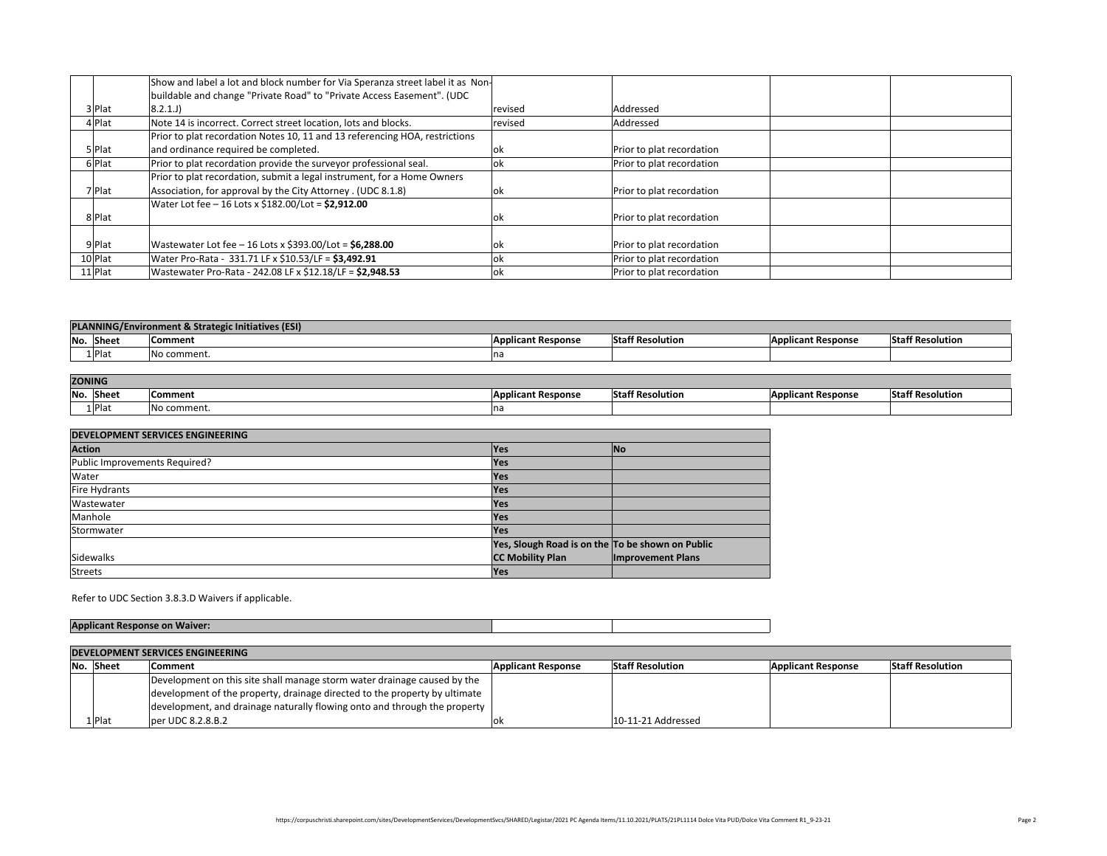|            | Show and label a lot and block number for Via Spe     |
|------------|-------------------------------------------------------|
|            | buildable and change "Private Road" to "Private A     |
| 3 Plat     | $8.2.1$ .J)                                           |
| 4 Plat     | Note 14 is incorrect. Correct street location, lots a |
|            | Prior to plat recordation Notes 10, 11 and 13 refer   |
| 5 Plat     | and ordinance required be completed.                  |
| 6 Plat     | Prior to plat recordation provide the surveyor pro    |
|            | Prior to plat recordation, submit a legal instrumer   |
| $7$  Plat  | Association, for approval by the City Attorney. (U    |
|            | Water Lot fee $-16$ Lots x \$182.00/Lot = \$2,912.00  |
| Plat       |                                                       |
|            |                                                       |
| 9 Plat     | Wastewater Lot fee $-16$ Lots x \$393.00/Lot = \$6,2  |
| 10 Plat    | Water Pro-Rata - 331.71 LF x \$10.53/LF = \$3,492.9   |
| $11 $ Plat | Wastewater Pro-Rata - 242.08 LF x \$12.18/LF = $$2$   |
|            |                                                       |

| revised | Addressed                 |  |
|---------|---------------------------|--|
| revised | Addressed                 |  |
|         |                           |  |
| ok      | Prior to plat recordation |  |
| ok      | Prior to plat recordation |  |
|         |                           |  |
| ok      | Prior to plat recordation |  |
|         |                           |  |
| ok      | Prior to plat recordation |  |
|         |                           |  |
| ok      | Prior to plat recordation |  |
| ok      | Prior to plat recordation |  |
| ok      | Prior to plat recordation |  |
|         |                           |  |

| <b>Staff Resolution</b> | <b>Applicant Response</b> | Sta |
|-------------------------|---------------------------|-----|
|                         |                           |     |
|                         |                           |     |
|                         |                           |     |
| 10-11-21 Addressed      |                           |     |



| <b>DEVELOPMENT SERVICES ENGINEERING</b> |                                                                            |                           |                         |                           |                         |
|-----------------------------------------|----------------------------------------------------------------------------|---------------------------|-------------------------|---------------------------|-------------------------|
| No. Sheet                               | <b>Comment</b>                                                             | <b>Applicant Response</b> | <b>Staff Resolution</b> | <b>Applicant Response</b> | <b>Staff Resolution</b> |
|                                         | Development on this site shall manage storm water drainage caused by the   |                           |                         |                           |                         |
|                                         | development of the property, drainage directed to the property by ultimate |                           |                         |                           |                         |
|                                         | development, and drainage naturally flowing onto and through the property  |                           |                         |                           |                         |
| $1 $ Plat                               | per UDC 8.2.8.B.2                                                          | OK                        | $ 10-11-21$ Addressed   |                           |                         |

Refer to UDC Section 3.8.3.D Waivers if applicable.

|           | <b>PLANNING/Environment &amp; Strategic Initiatives (ESI)</b> |                           |                         |                           |                         |
|-----------|---------------------------------------------------------------|---------------------------|-------------------------|---------------------------|-------------------------|
| No. Sheet | Comment                                                       | <b>Applicant Response</b> | <b>Staff Resolution</b> | <b>Applicant Response</b> | <b>Staff Resolution</b> |
| $1$  Plat | No comment.                                                   | na                        |                         |                           |                         |
|           |                                                               |                           |                         |                           |                         |
|           | . <u>.</u> .                                                  |                           |                         |                           |                         |

| <b>ZONING</b> |           |                            |                           |                         |                           |                         |
|---------------|-----------|----------------------------|---------------------------|-------------------------|---------------------------|-------------------------|
| No.           | Sheet     | <b>Comment</b>             | <b>Applicant Response</b> | <b>Staff Resolution</b> | <b>Applicant Response</b> | <b>Staff Resolution</b> |
|               | $1$  Plat | $\blacksquare$ No comment. | na                        |                         |                           |                         |

| <b>DEVELOPMENT SERVICES ENGINEERING</b> |                                                  |                          |  |  |
|-----------------------------------------|--------------------------------------------------|--------------------------|--|--|
| <b>Action</b>                           | <b>Yes</b>                                       | $\overline{\mathsf{No}}$ |  |  |
| Public Improvements Required?           | <b>Yes</b>                                       |                          |  |  |
| Water                                   | <b>Yes</b>                                       |                          |  |  |
| <b>Fire Hydrants</b>                    | Yes                                              |                          |  |  |
| Wastewater                              | <b>Yes</b>                                       |                          |  |  |
| Manhole                                 | <b>Yes</b>                                       |                          |  |  |
| Stormwater                              | <b>Yes</b>                                       |                          |  |  |
|                                         | Yes, Slough Road is on the To be shown on Public |                          |  |  |
| <b>Sidewalks</b>                        | <b>CC Mobility Plan</b>                          | <b>Improvement Plans</b> |  |  |
| <b>Streets</b>                          | <b>Yes</b>                                       |                          |  |  |

|                             | <b>DEVELOPMENT SERVICES ENGINEERING</b> |                                    |  |  |  |
|-----------------------------|-----------------------------------------|------------------------------------|--|--|--|
| No. Sheet<br><b>Comment</b> |                                         |                                    |  |  |  |
|                             |                                         | Development on this site shall mar |  |  |  |
|                             |                                         | development of the property, drair |  |  |  |
|                             |                                         | development, and drainage natura   |  |  |  |
|                             | $1$  Plat                               | per UDC 8.2.8.B.2                  |  |  |  |

|            | Show and label a lot and block number for Via Speranza street label it as $\,$ Non- |            |                           |
|------------|-------------------------------------------------------------------------------------|------------|---------------------------|
|            | buildable and change "Private Road" to "Private Access Easement". (UDC              |            |                           |
| 3 Plat     | (8.2.1J)                                                                            | revised    | Addressed                 |
| $4$ Plat   | Note 14 is incorrect. Correct street location, lots and blocks.                     | revised    | Addressed                 |
|            | Prior to plat recordation Notes 10, 11 and 13 referencing HOA, restrictions         |            |                           |
| 5 Plat     | and ordinance required be completed.                                                | OK         | Prior to plat recordation |
| $6$  Plat  | Prior to plat recordation provide the surveyor professional seal.                   | lok        | Prior to plat recordation |
|            | Prior to plat recordation, submit a legal instrument, for a Home Owners             |            |                           |
| $7$  Plat  | Association, for approval by the City Attorney. (UDC 8.1.8)                         | OK         | Prior to plat recordation |
|            | Water Lot fee $-16$ Lots x \$182.00/Lot = \$2,912.00                                |            |                           |
| 8 Plat     |                                                                                     | OK         | Prior to plat recordation |
| 9 Plat     | Wastewater Lot fee – 16 Lots x \$393.00/Lot = $$6,288.00$                           | <b>lok</b> | Prior to plat recordation |
| $10$  Plat | Water Pro-Rata - 331.71 LF x \$10.53/LF = \$3,492.91                                | <b>lok</b> | Prior to plat recordation |
| $11 $ Plat | Wastewater Pro-Rata - 242.08 LF x \$12.18/LF = $$2,948.53$                          | OK         | Prior to plat recordation |
|            |                                                                                     |            |                           |

# **Applicant Response on Waiver:**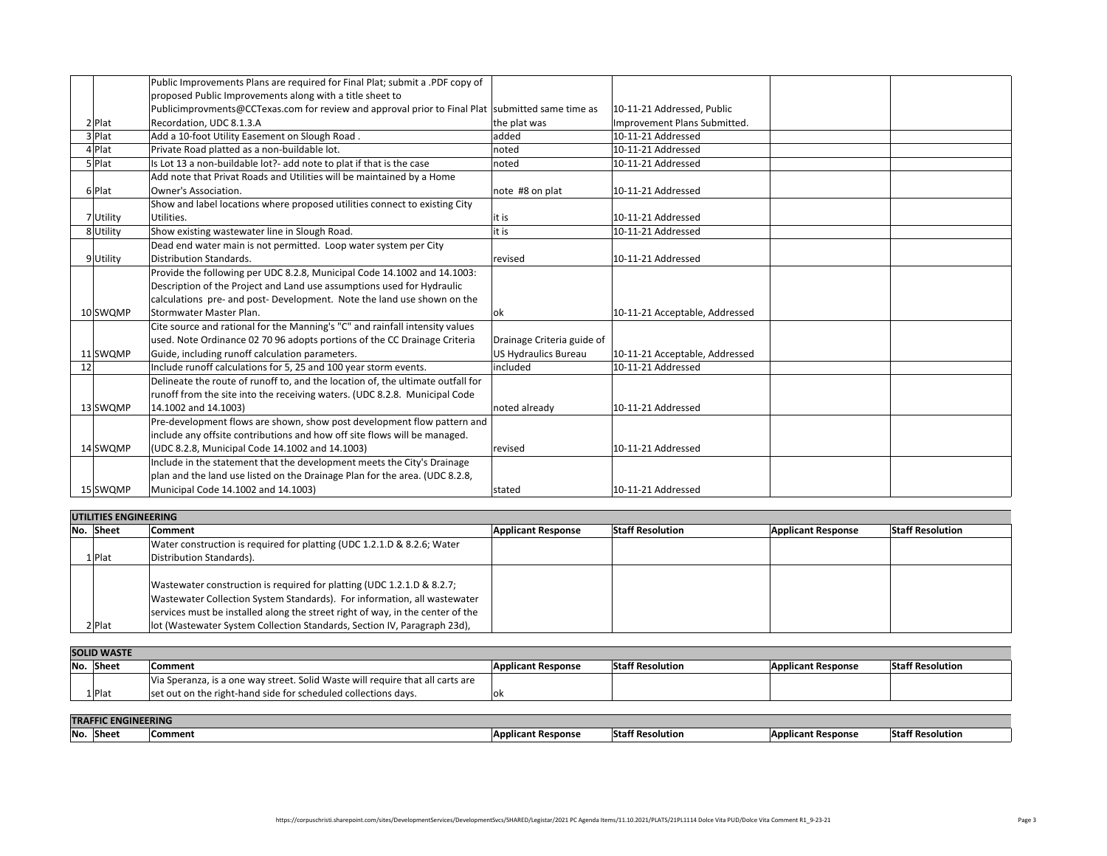| proposed Public Improvements along with a title sheet to<br>Publicimprovments@CCTexas.com for review and approval prior to Final Plat  submitted same time as<br>$ 10$ -11-21 Addressed, Public<br>Improvement Plans Submitted.<br>Recordation, UDC 8.1.3.A<br>2 Plat<br>the plat was<br>Add a 10-foot Utility Easement on Slough Road.<br>3 Plat<br>$ 10-11-21$ Addressed<br>added |  |
|-------------------------------------------------------------------------------------------------------------------------------------------------------------------------------------------------------------------------------------------------------------------------------------------------------------------------------------------------------------------------------------|--|
|                                                                                                                                                                                                                                                                                                                                                                                     |  |
|                                                                                                                                                                                                                                                                                                                                                                                     |  |
|                                                                                                                                                                                                                                                                                                                                                                                     |  |
|                                                                                                                                                                                                                                                                                                                                                                                     |  |
| Private Road platted as a non-buildable lot.<br>4 Plat<br>$ 10-11-21$ Addressed<br> noted                                                                                                                                                                                                                                                                                           |  |
| Is Lot 13 a non-buildable lot?- add note to plat if that is the case<br>$5 $ Plat<br>$ 10-11-21$ Addressed<br>noted                                                                                                                                                                                                                                                                 |  |
| Add note that Privat Roads and Utilities will be maintained by a Home                                                                                                                                                                                                                                                                                                               |  |
| Owner's Association.<br>6 Plat<br>$ 10-11-21$ Addressed<br>$ note$ #8 on plat                                                                                                                                                                                                                                                                                                       |  |
| Show and label locations where proposed utilities connect to existing City                                                                                                                                                                                                                                                                                                          |  |
| 7 Utility<br>Utilities.<br>$ 10-11-21$ Addressed                                                                                                                                                                                                                                                                                                                                    |  |
| Show existing wastewater line in Slough Road.<br>$ 10-11-21$ Addressed<br>8 Utility<br>lit is                                                                                                                                                                                                                                                                                       |  |
| Dead end water main is not permitted. Loop water system per City                                                                                                                                                                                                                                                                                                                    |  |
| Distribution Standards.<br>$ 10-11-21$ Addressed<br>9Utility<br>revised                                                                                                                                                                                                                                                                                                             |  |
| Provide the following per UDC 8.2.8, Municipal Code 14.1002 and 14.1003:                                                                                                                                                                                                                                                                                                            |  |
| Description of the Project and Land use assumptions used for Hydraulic                                                                                                                                                                                                                                                                                                              |  |
| calculations pre- and post- Development. Note the land use shown on the                                                                                                                                                                                                                                                                                                             |  |
| 10-11-21 Acceptable, Addressed<br>Stormwater Master Plan.<br>10 SWQMP<br>OK                                                                                                                                                                                                                                                                                                         |  |
| Cite source and rational for the Manning's "C" and rainfall intensity values                                                                                                                                                                                                                                                                                                        |  |
| used. Note Ordinance 02 70 96 adopts portions of the CC Drainage Criteria<br>Drainage Criteria guide of                                                                                                                                                                                                                                                                             |  |
| Guide, including runoff calculation parameters.<br>10-11-21 Acceptable, Addressed<br>US Hydraulics Bureau<br>11 SWQMP                                                                                                                                                                                                                                                               |  |
| Include runoff calculations for 5, 25 and 100 year storm events.<br>$ 10-11-21$ Addressed<br> included                                                                                                                                                                                                                                                                              |  |
| Delineate the route of runoff to, and the location of, the ultimate outfall for                                                                                                                                                                                                                                                                                                     |  |
| runoff from the site into the receiving waters. (UDC 8.2.8. Municipal Code                                                                                                                                                                                                                                                                                                          |  |
| $ 14.1002$ and $14.1003$<br>noted already<br>13 SWQMP<br>$ 10-11-21$ Addressed                                                                                                                                                                                                                                                                                                      |  |
| $ Pre$ -development flows are shown, show post development flow pattern and $ $                                                                                                                                                                                                                                                                                                     |  |
| include any offsite contributions and how off site flows will be managed.                                                                                                                                                                                                                                                                                                           |  |
| $(UDC 8.2.8, Municipal Code 14.1002 and 14.1003)$<br>14 SWQMP<br>revised<br>$ 10-11-21$ Addressed                                                                                                                                                                                                                                                                                   |  |
| Include in the statement that the development meets the City's Drainage                                                                                                                                                                                                                                                                                                             |  |
| plan and the land use listed on the Drainage Plan for the area. (UDC 8.2.8,                                                                                                                                                                                                                                                                                                         |  |
| Municipal Code 14.1002 and 14.1003)<br>$ 10-11-21$ Addressed<br>15 SWQMP<br>stated                                                                                                                                                                                                                                                                                                  |  |

| U TELLILJ LITURIS GALITI |                                                                                |                           |                         |                           |                         |
|--------------------------|--------------------------------------------------------------------------------|---------------------------|-------------------------|---------------------------|-------------------------|
| No. Sheet                | <b>Comment</b>                                                                 | <b>Applicant Response</b> | <b>Staff Resolution</b> | <b>Applicant Response</b> | <b>Staff Resolution</b> |
|                          | Water construction is required for platting (UDC 1.2.1.D & 8.2.6; Water        |                           |                         |                           |                         |
| $1 {\sf Flat}$           | Distribution Standards).                                                       |                           |                         |                           |                         |
|                          |                                                                                |                           |                         |                           |                         |
|                          | Wastewater construction is required for platting (UDC 1.2.1.D & 8.2.7;         |                           |                         |                           |                         |
|                          | Wastewater Collection System Standards). For information, all wastewater       |                           |                         |                           |                         |
|                          | services must be installed along the street right of way, in the center of the |                           |                         |                           |                         |
| 2 Plat                   | lot (Wastewater System Collection Standards, Section IV, Paragraph 23d),       |                           |                         |                           |                         |
|                          |                                                                                |                           |                         |                           |                         |

| <b>SOLID WASTE</b>         |                                                                                |                           |                         |                           |                         |
|----------------------------|--------------------------------------------------------------------------------|---------------------------|-------------------------|---------------------------|-------------------------|
| No. Sheet                  | <b>Comment</b>                                                                 | <b>Applicant Response</b> | <b>Staff Resolution</b> | <b>Applicant Response</b> | <b>Staff Resolution</b> |
|                            | Via Speranza, is a one way street. Solid Waste will require that all carts are |                           |                         |                           |                         |
| $1$  Plat                  | set out on the right-hand side for scheduled collections days.                 | OK                        |                         |                           |                         |
|                            |                                                                                |                           |                         |                           |                         |
| <b>TRAFFIC ENGINEERING</b> |                                                                                |                           |                         |                           |                         |

https://corpuschristi.sharepoint.com/sites/DevelopmentServices/DevelopmentSvcs/SHARED/Legistar/2021 PC Agenda Items/11.10.2021/PLATS/21PL1114 Dolce Vita PUD/Dolce Vita Comment R1\_9-23-21 Page 3

| <b>Staff Resolution</b> | <b>Applicant Response</b> | <b>Sta</b> |
|-------------------------|---------------------------|------------|
|                         |                           |            |
|                         |                           |            |
|                         |                           |            |
|                         |                           |            |
|                         |                           |            |
|                         |                           |            |
|                         |                           |            |
|                         |                           |            |

| <b>Staff Resolution</b> | <b>Applicant Response</b> | <b>sta</b> |
|-------------------------|---------------------------|------------|
|                         |                           |            |
|                         |                           |            |
|                         |                           |            |
|                         |                           |            |

|                                       | UTILITIES ENGINEERING |                                         |  |  |
|---------------------------------------|-----------------------|-----------------------------------------|--|--|
|                                       | No. Sheet<br>Comment  |                                         |  |  |
|                                       |                       | Water construction is required for      |  |  |
| Distribution Standards).<br>$1$  Plat |                       |                                         |  |  |
|                                       |                       |                                         |  |  |
|                                       |                       | Wastewater construction is require      |  |  |
|                                       |                       | <b>Wastewater Collection System Sta</b> |  |  |
|                                       |                       | services must be installed along th     |  |  |
| Plat                                  |                       | lot (Wastewater System Collection       |  |  |

| <b>SOLID WASTE</b> |           |                                      |  |  |
|--------------------|-----------|--------------------------------------|--|--|
|                    | No. Sheet | <b>Comment</b>                       |  |  |
|                    |           | Via Speranza, is a one way street. S |  |  |
|                    | $1$  Plat | set out on the right-hand side for s |  |  |

| <b>Applicant Response</b> | <b>Staff Resolution</b> | <b>Applicant Response</b> | <b>Staff Resolution</b> |
|---------------------------|-------------------------|---------------------------|-------------------------|
|                           |                         |                           |                         |



| <b>TRAFFIC ENGINEERING</b> |           |                |  |
|----------------------------|-----------|----------------|--|
|                            | No. Sheet | <b>Comment</b> |  |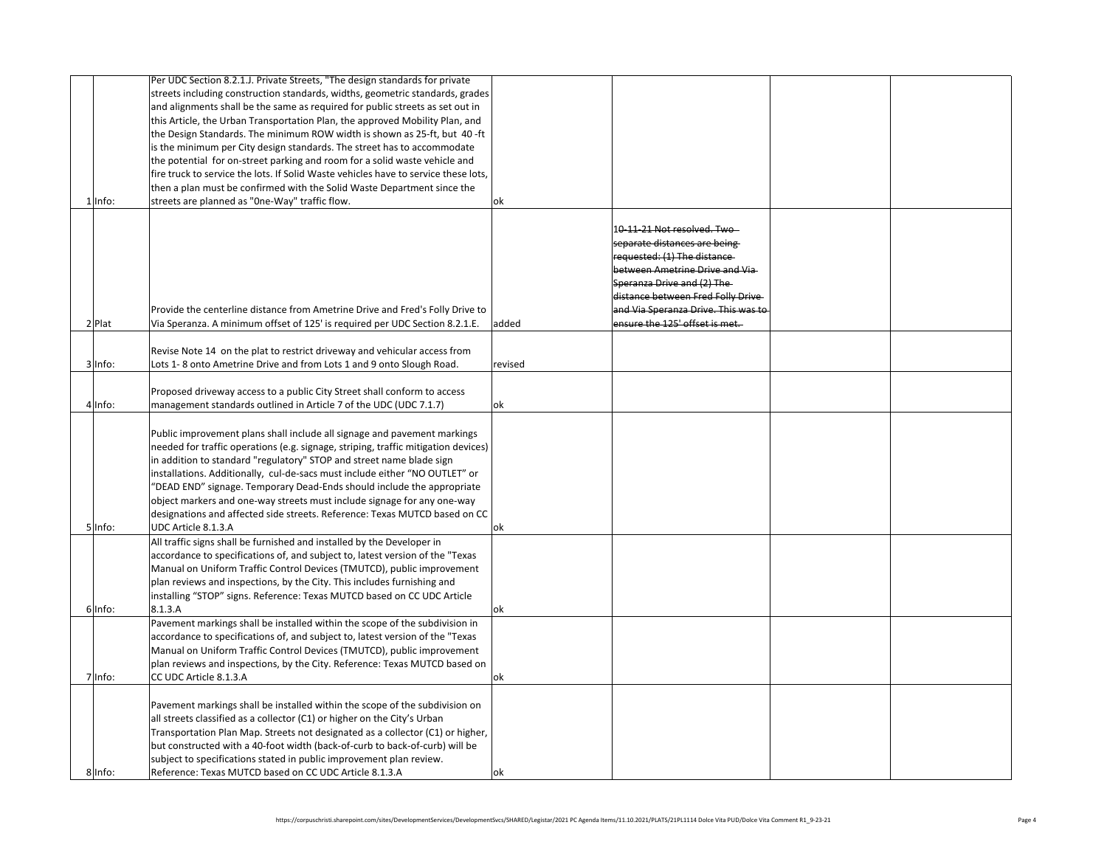| l Info:    | Per UDC Section 8.2.1.J. Private Streets, "The design standards for private<br>streets including construction standards, widths, geometric standards, grades<br>and alignments shall be the same as required for public streets as set out in<br>this Article, the Urban Transportation Plan, the approved Mobility Plan, and<br>the Design Standards. The minimum ROW width is shown as 25-ft, but 40-ft<br>is the minimum per City design standards. The street has to accommodate<br>the potential for on-street parking and room for a solid waste vehicle and<br>fire truck to service the lots. If Solid Waste vehicles have to service these lots,<br>then a plan must be confirmed with the Solid Waste Department since the<br>streets are planned as "One-Way" traffic flow. |                                                                                                                                                                                                                                                                                                 |  |
|------------|----------------------------------------------------------------------------------------------------------------------------------------------------------------------------------------------------------------------------------------------------------------------------------------------------------------------------------------------------------------------------------------------------------------------------------------------------------------------------------------------------------------------------------------------------------------------------------------------------------------------------------------------------------------------------------------------------------------------------------------------------------------------------------------|-------------------------------------------------------------------------------------------------------------------------------------------------------------------------------------------------------------------------------------------------------------------------------------------------|--|
| $2$  Plat  | Provide the centerline distance from Ametrine Drive and Fred's Folly Drive to<br>Via Speranza. A minimum offset of 125' is required per UDC Section 8.2.1.E.<br>Revise Note 14 on the plat to restrict driveway and vehicular access from                                                                                                                                                                                                                                                                                                                                                                                                                                                                                                                                              | 1 <del>0-11-21</del> Not resolved. Two<br>separate distances are being<br>$ requested: (1)$ The distance<br>between Ametrine Drive and Via<br>Speranza Drive and (2) The<br>distance between Fred Folly Drive<br>and Via Speranza Drive. This was to<br>ensure the 125' offset is met.<br>added |  |
| 3 Info:    | Lots 1-8 onto Ametrine Drive and from Lots 1 and 9 onto Slough Road.                                                                                                                                                                                                                                                                                                                                                                                                                                                                                                                                                                                                                                                                                                                   | revised                                                                                                                                                                                                                                                                                         |  |
| $4$  Info: | Proposed driveway access to a public City Street shall conform to access<br>$\vert$ management standards outlined in Article 7 of the UDC (UDC 7.1.7)                                                                                                                                                                                                                                                                                                                                                                                                                                                                                                                                                                                                                                  | $ {\bf o}{\bf k} $                                                                                                                                                                                                                                                                              |  |
| $5$  Info: | Public improvement plans shall include all signage and pavement markings<br>$ needed$ for traffic operations (e.g. signage, striping, traffic mitigation devices) $ $<br>in addition to standard "regulatory" STOP and street name blade sign<br>installations. Additionally, cul-de-sacs must include either "NO OUTLET" or<br>"DEAD END" signage. Temporary Dead-Ends should include the appropriate<br>object markers and one-way streets must include signage for any one-way<br>designations and affected side streets. Reference: Texas MUTCD based on CC $\vert$<br>UDC Article 8.1.3.A                                                                                                                                                                                         | <b>OK</b>                                                                                                                                                                                                                                                                                       |  |
| $6$  Info: | All traffic signs shall be furnished and installed by the Developer in<br>accordance to specifications of, and subject to, latest version of the "Texas<br>Manual on Uniform Traffic Control Devices (TMUTCD), public improvement<br>plan reviews and inspections, by the City. This includes furnishing and<br>installing "STOP" signs. Reference: Texas MUTCD based on CC UDC Article<br> 8.1.3.A <br>Pavement markings shall be installed within the scope of the subdivision in<br>accordance to specifications of, and subject to, latest version of the "Texas                                                                                                                                                                                                                   | OK                                                                                                                                                                                                                                                                                              |  |
| $7$  Info: | Manual on Uniform Traffic Control Devices (TMUTCD), public improvement<br>plan reviews and inspections, by the City. Reference: Texas MUTCD based on<br><b>CC UDC Article 8.1.3.A</b>                                                                                                                                                                                                                                                                                                                                                                                                                                                                                                                                                                                                  | OK                                                                                                                                                                                                                                                                                              |  |
| $8$  Info: | Pavement markings shall be installed within the scope of the subdivision on<br>all streets classified as a collector (C1) or higher on the City's Urban<br>Transportation Plan Map. Streets not designated as a collector (C1) or higher,<br>but constructed with a 40-foot width (back-of-curb to back-of-curb) will be<br>subject to specifications stated in public improvement plan review.<br>Reference: Texas MUTCD based on CC UDC Article 8.1.3.A                                                                                                                                                                                                                                                                                                                              | <b>lok</b>                                                                                                                                                                                                                                                                                      |  |

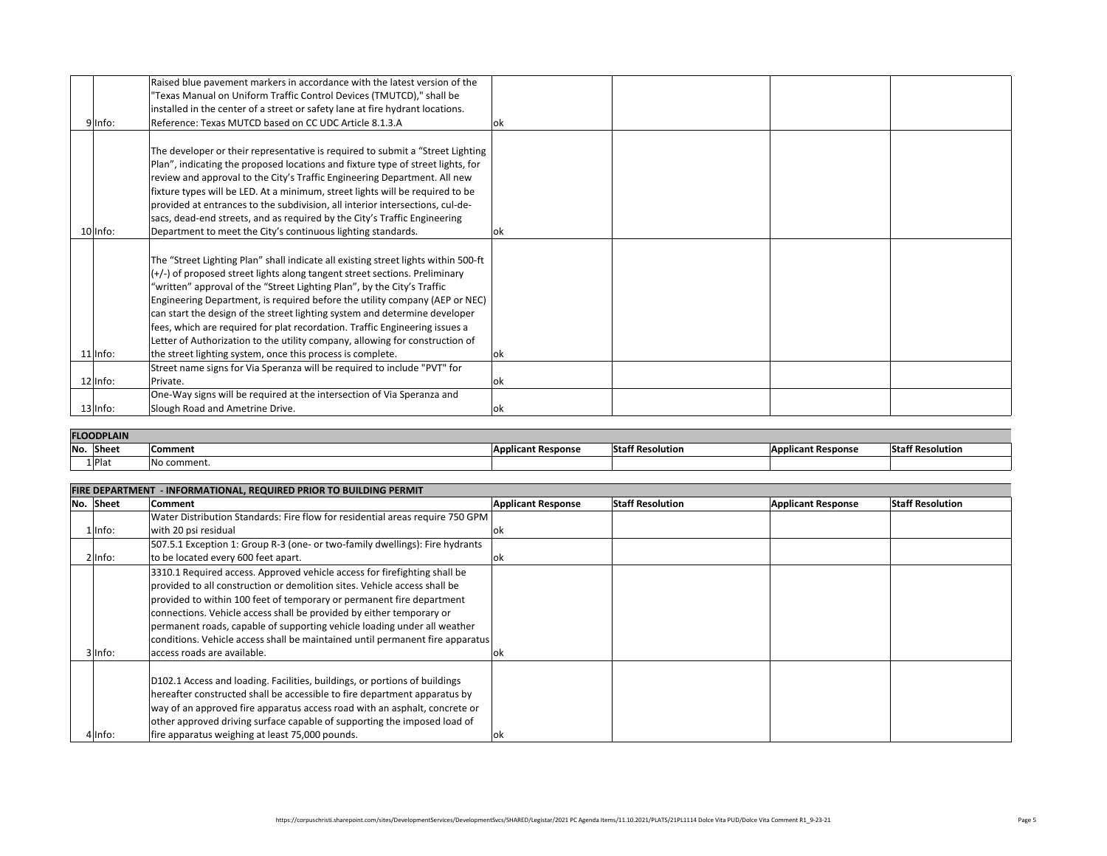|             | Raised blue pavement markers in accordance with the latest version of the          |    |  |
|-------------|------------------------------------------------------------------------------------|----|--|
|             | "Texas Manual on Uniform Traffic Control Devices (TMUTCD)," shall be               |    |  |
|             | installed in the center of a street or safety lane at fire hydrant locations.      |    |  |
| 9 Info:     | Reference: Texas MUTCD based on CC UDC Article 8.1.3.A                             | OK |  |
|             |                                                                                    |    |  |
|             | The developer or their representative is required to submit a "Street Lighting     |    |  |
|             | Plan", indicating the proposed locations and fixture type of street lights, for    |    |  |
|             | review and approval to the City's Traffic Engineering Department. All new          |    |  |
|             | fixture types will be LED. At a minimum, street lights will be required to be      |    |  |
|             | provided at entrances to the subdivision, all interior intersections, cul-de-      |    |  |
|             | sacs, dead-end streets, and as required by the City's Traffic Engineering          |    |  |
| $10$  Info: | Department to meet the City's continuous lighting standards.                       | OK |  |
|             |                                                                                    |    |  |
|             | The "Street Lighting Plan" shall indicate all existing street lights within 500-ft |    |  |
|             | $\vert$ (+/-) of proposed street lights along tangent street sections. Preliminary |    |  |
|             | "written" approval of the "Street Lighting Plan", by the City's Traffic            |    |  |
|             | Engineering Department, is required before the utility company (AEP or NEC)        |    |  |
|             | $ $ can start the design of the street lighting system and determine developer     |    |  |
|             | fees, which are required for plat recordation. Traffic Engineering issues a        |    |  |
|             | Letter of Authorization to the utility company, allowing for construction of       |    |  |
| $11 $ Info: | the street lighting system, once this process is complete.                         |    |  |
|             | Street name signs for Via Speranza will be required to include "PVT" for           |    |  |
| $12$  Info: | Private.                                                                           | OK |  |
|             | One-Way signs will be required at the intersection of Via Speranza and             |    |  |
| $13$  Info: | Slough Road and Ametrine Drive.                                                    | OK |  |

| <b>FLOODPLAIN</b> |             |                           |                         |                           |                         |
|-------------------|-------------|---------------------------|-------------------------|---------------------------|-------------------------|
| No.<br>Sheet      | Comment     | <b>Applicant Response</b> | <b>Staff Resolution</b> | <b>Applicant Response</b> | <b>Staff Resolution</b> |
| $1 $ Plat         | No comment. |                           |                         |                           |                         |

|             | FIRE DEPARTMENT - INFORMATIONAL, REQUIRED PRIOR TO BUILDING PERMIT                    |                           |                         |                           |                         |  |  |
|-------------|---------------------------------------------------------------------------------------|---------------------------|-------------------------|---------------------------|-------------------------|--|--|
| No. Sheet   | <b>Comment</b>                                                                        | <b>Applicant Response</b> | <b>Staff Resolution</b> | <b>Applicant Response</b> | <b>Staff Resolution</b> |  |  |
|             | Water Distribution Standards: Fire flow for residential areas require 750 GPM         |                           |                         |                           |                         |  |  |
| L Info:     | with 20 psi residual                                                                  | OK                        |                         |                           |                         |  |  |
|             | 507.5.1 Exception 1: Group R-3 (one- or two-family dwellings): Fire hydrants          |                           |                         |                           |                         |  |  |
| 2 Info:     | to be located every 600 feet apart.                                                   | OK                        |                         |                           |                         |  |  |
|             | 3310.1 Required access. Approved vehicle access for firefighting shall be             |                           |                         |                           |                         |  |  |
|             | provided to all construction or demolition sites. Vehicle access shall be             |                           |                         |                           |                         |  |  |
|             | provided to within 100 feet of temporary or permanent fire department                 |                           |                         |                           |                         |  |  |
|             | connections. Vehicle access shall be provided by either temporary or                  |                           |                         |                           |                         |  |  |
|             | permanent roads, capable of supporting vehicle loading under all weather              |                           |                         |                           |                         |  |  |
|             | $ $ conditions. Vehicle access shall be maintained until permanent fire apparatus $ $ |                           |                         |                           |                         |  |  |
| $3$  Info:  | access roads are available.                                                           | OK                        |                         |                           |                         |  |  |
|             |                                                                                       |                           |                         |                           |                         |  |  |
|             | D102.1 Access and loading. Facilities, buildings, or portions of buildings            |                           |                         |                           |                         |  |  |
|             | hereafter constructed shall be accessible to fire department apparatus by             |                           |                         |                           |                         |  |  |
|             | way of an approved fire apparatus access road with an asphalt, concrete or            |                           |                         |                           |                         |  |  |
|             | other approved driving surface capable of supporting the imposed load of              |                           |                         |                           |                         |  |  |
| $4$   Info: | fire apparatus weighing at least 75,000 pounds.                                       | OK                        |                         |                           |                         |  |  |

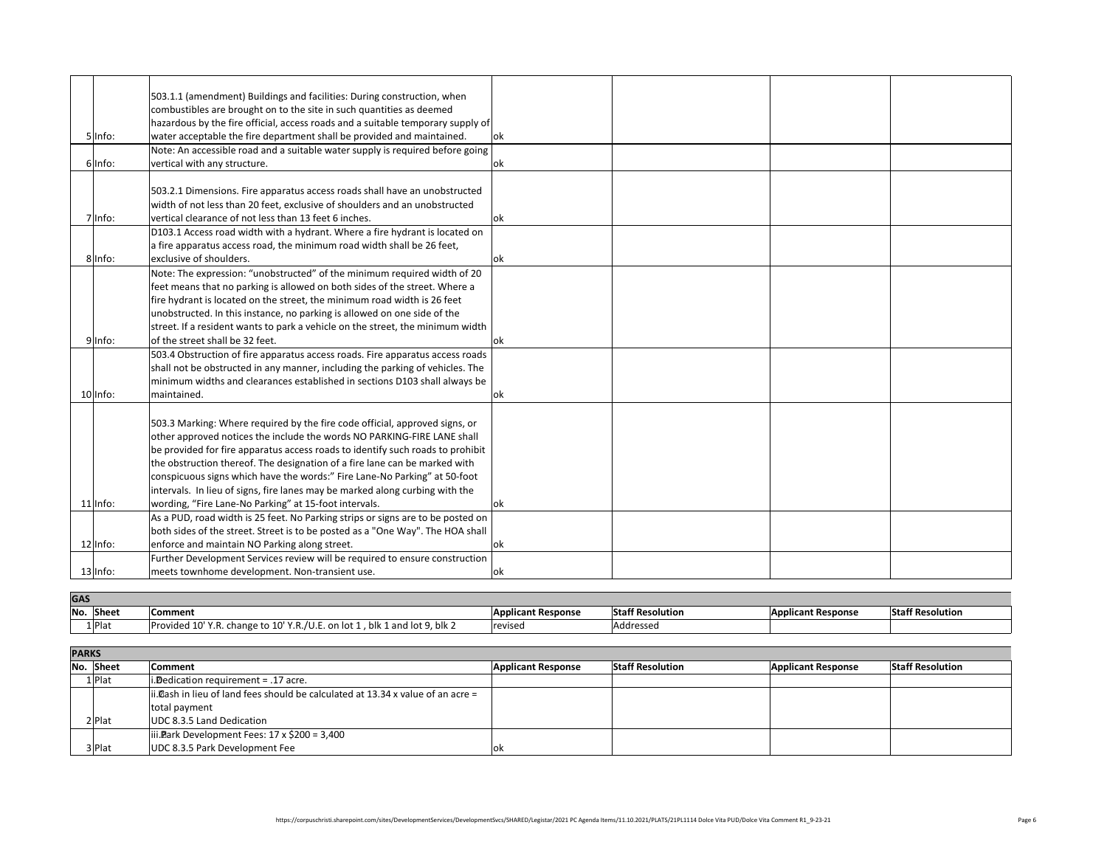| 503.1.1 (amendment) Buildings and facilities: During construction, when         |            |
|---------------------------------------------------------------------------------|------------|
| combustibles are brought on to the site in such quantities as deemed            |            |
| hazardous by the fire official, access roads and a suitable temporary supply of |            |
| water acceptable the fire department shall be provided and maintained.          | ok         |
| Note: An accessible road and a suitable water supply is required before going   |            |
| vertical with any structure.                                                    | <b>lok</b> |
|                                                                                 |            |
| 503.2.1 Dimensions. Fire apparatus access roads shall have an unobstructed      |            |
| width of not less than 20 feet, exclusive of shoulders and an unobstructed      |            |
| vertical clearance of not less than 13 feet 6 inches.                           | <b>ok</b>  |
| D103.1 Access road width with a hydrant. Where a fire hydrant is located on     |            |
| a fire apparatus access road, the minimum road width shall be 26 feet,          |            |
| exclusive of shoulders.                                                         | lok.       |
| Note: The expression: "unobstructed" of the minimum required width of 20        |            |
| feet means that no parking is allowed on both sides of the street. Where a      |            |
| fire hydrant is located on the street, the minimum road width is 26 feet        |            |
| unobstructed. In this instance, no parking is allowed on one side of the        |            |
| street. If a resident wants to park a vehicle on the street, the minimum width  |            |
| of the street shall be 32 feet.                                                 | lok        |
| 503.4 Obstruction of fire apparatus access roads. Fire apparatus access roads   |            |
| shall not be obstructed in any manner, including the parking of vehicles. The   |            |
| minimum widths and clearances established in sections D103 shall always be      |            |
| maintained.                                                                     | <b>lok</b> |
|                                                                                 |            |
| 503.3 Marking: Where required by the fire code official, approved signs, or     |            |
| other approved notices the include the words NO PARKING-FIRE LANE shall         |            |
| be provided for fire apparatus access roads to identify such roads to prohibit  |            |
| the obstruction thereof. The designation of a fire lane can be marked with      |            |
| conspicuous signs which have the words:" Fire Lane-No Parking" at 50-foot       |            |
| intervals. In lieu of signs, fire lanes may be marked along curbing with the    |            |
| wording, "Fire Lane-No Parking" at 15-foot intervals.                           | ok         |
| As a PUD, road width is 25 feet. No Parking strips or signs are to be posted on |            |
| both sides of the street. Street is to be posted as a "One Way". The HOA shall  |            |
| enforce and maintain NO Parking along street.                                   | <b>lok</b> |
| Further Development Services review will be required to ensure construction     |            |
| meets townhome development. Non-transient use.                                  | <b>lok</b> |
|                                                                                 |            |

| <b>PARRJ</b> |           |                                                                                  |                           |                         |                           |                         |
|--------------|-----------|----------------------------------------------------------------------------------|---------------------------|-------------------------|---------------------------|-------------------------|
|              | No. Sheet | <b>Comment</b>                                                                   | <b>Applicant Response</b> | <b>Staff Resolution</b> | <b>Applicant Response</b> | <b>Staff Resolution</b> |
|              | $1$  Plat | i. Dedication requirement $= .17$ acre.                                          |                           |                         |                           |                         |
|              |           | ii. Dash in lieu of land fees should be calculated at 13.34 x value of an acre = |                           |                         |                           |                         |
|              |           | total payment                                                                    |                           |                         |                           |                         |
|              | 2 Plat    | UDC 8.3.5 Land Dedication                                                        |                           |                         |                           |                         |
|              |           | iii. Plark Development Fees: $17 \times $200 = 3,400$                            |                           |                         |                           |                         |
|              | 3 Plat    | UDC 8.3.5 Park Development Fee                                                   | OK                        |                         |                           |                         |

| y of $\big $    |        |  |  |
|-----------------|--------|--|--|
|                 | $ $ ok |  |  |
| ing             |        |  |  |
|                 | $ $ ok |  |  |
|                 |        |  |  |
| bd              |        |  |  |
|                 |        |  |  |
| วท              | $ $ ok |  |  |
|                 |        |  |  |
|                 | $ $ ok |  |  |
| 20 <sup>2</sup> |        |  |  |
|                 |        |  |  |
|                 |        |  |  |
|                 |        |  |  |
| $d$ th          |        |  |  |
|                 | $ $ ok |  |  |
| ads             |        |  |  |
| he              |        |  |  |
| be              |        |  |  |
|                 | $ $ ok |  |  |
|                 |        |  |  |
| $\prod$         |        |  |  |
| bit             |        |  |  |
|                 |        |  |  |
| $\mathsf t$     |        |  |  |
|                 |        |  |  |
|                 | $ $ ok |  |  |
| on              |        |  |  |
| iall            |        |  |  |
|                 | $ $ ok |  |  |
| ion             |        |  |  |
|                 | $ $ ok |  |  |

| <b>Staff Resolution</b> | <b>Applicant Response</b> | Sta |
|-------------------------|---------------------------|-----|
|                         |                           |     |
|                         |                           |     |
|                         |                           |     |
|                         |                           |     |
|                         |                           |     |
|                         |                           |     |

|             | 503.1.1 (amendment) Buildings an         |
|-------------|------------------------------------------|
|             | combustibles are brought on to the       |
|             | hazardous by the fire official, accest   |
| 5 Info:     | water acceptable the fire departm        |
|             | Note: An accessible road and a suit      |
| 6 Info:     | vertical with any structure.             |
|             |                                          |
|             | 503.2.1 Dimensions. Fire apparatus       |
|             | width of not less than 20 feet, excl     |
| $ln$ fo:    | vertical clearance of not less than :    |
|             | D103.1 Access road width with a ht       |
|             | a fire apparatus access road, the m      |
| 8 Info:     | exclusive of shoulders.                  |
|             | Note: The expression: "unobstruct        |
|             | feet means that no parking is allow      |
|             | fire hydrant is located on the stree     |
|             | unobstructed. In this instance, no       |
|             | street. If a resident wants to park a    |
| 9lInfo:     | of the street shall be 32 feet.          |
|             | 503.4 Obstruction of fire apparatus      |
|             | shall not be obstructed in any man       |
|             | minimum widths and clearances est        |
| $10$  Info: | maintained.                              |
|             |                                          |
|             | 503.3 Marking: Where required by         |
|             | other approved notices the include       |
|             | be provided for fire apparatus acce      |
|             | the obstruction thereof. The design      |
|             | conspicuous signs which have the         |
|             | intervals. In lieu of signs, fire lanes  |
| $11$  Info: | wording, "Fire Lane-No Parking" at       |
|             | As a PUD, road width is 25 feet. No      |
|             | both sides of the street. Street is to   |
| $12$  lnfo: | enforce and maintain NO Parking a        |
|             | <b>Further Development Services revi</b> |
| $13$  lnfo: | meets townhome development. N            |

| <b>GAD</b> |           |                                                                            |                           |                         |                           |                         |
|------------|-----------|----------------------------------------------------------------------------|---------------------------|-------------------------|---------------------------|-------------------------|
| No.        | Sheet     | Comment                                                                    | <b>Applicant Response</b> | <b>Staff Resolution</b> | <b>Applicant Response</b> | <b>Staff Resolution</b> |
|            | $1 $ Plat | Provided 10' Y.R. change to 10' Y.R./U.E. on lot 1, blk 1 and lot 9, blk 2 | revised                   | Addressed               |                           |                         |
|            |           |                                                                            |                           |                         |                           |                         |

|     | <b>PARKS</b> |                                                       |  |  |
|-----|--------------|-------------------------------------------------------|--|--|
| No. | <b>Sheet</b> | <b>Comment</b>                                        |  |  |
|     | $1$  Plat    | i. Dedication requirement $= .17$ acre.               |  |  |
|     |              | ii.@ash in lieu of land fees should be calculate      |  |  |
|     |              | total payment                                         |  |  |
|     | $2$  Plat    | <b>UDC 8.3.5 Land Dedication</b>                      |  |  |
|     |              | iii. Plark Development Fees: $17 \times $200 = 3,400$ |  |  |
|     | 3 Plat       | UDC 8.3.5 Park Development Fee                        |  |  |

### **GAS**